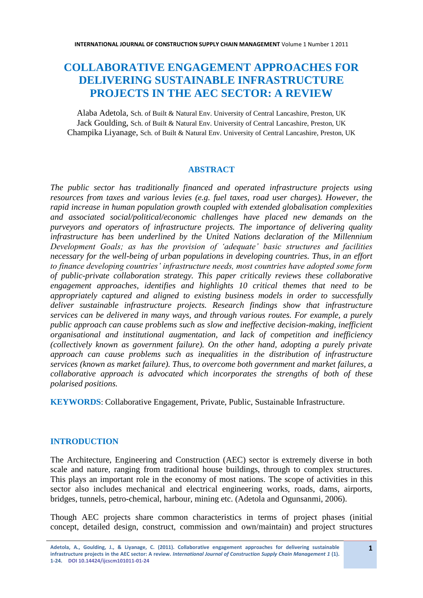# **COLLABORATIVE ENGAGEMENT APPROACHES FOR DELIVERING SUSTAINABLE INFRASTRUCTURE PROJECTS IN THE AEC SECTOR: A REVIEW**

Alaba Adetola, Sch. of Built & Natural Env. University of Central Lancashire, Preston, UK Jack Goulding, Sch. of Built & Natural Env. University of Central Lancashire, Preston, UK Champika Liyanage, Sch. of Built & Natural Env. University of Central Lancashire, Preston, UK

#### **ABSTRACT**

*The public sector has traditionally financed and operated infrastructure projects using resources from taxes and various levies (e.g. fuel taxes, road user charges). However, the rapid increase in human population growth coupled with extended globalisation complexities and associated social/political/economic challenges have placed new demands on the purveyors and operators of infrastructure projects. The importance of delivering quality infrastructure has been underlined by the United Nations declaration of the Millennium Development Goals; as has the provision of 'adequate' basic structures and facilities necessary for the well-being of urban populations in developing countries. Thus, in an effort to finance developing countries' infrastructure needs, most countries have adopted some form of public-private collaboration strategy. This paper critically reviews these collaborative engagement approaches, identifies and highlights 10 critical themes that need to be appropriately captured and aligned to existing business models in order to successfully deliver sustainable infrastructure projects. Research findings show that infrastructure services can be delivered in many ways, and through various routes. For example, a purely public approach can cause problems such as slow and ineffective decision-making, inefficient organisational and institutional augmentation, and lack of competition and inefficiency (collectively known as government failure). On the other hand, adopting a purely private approach can cause problems such as inequalities in the distribution of infrastructure services (known as market failure). Thus, to overcome both government and market failures, a collaborative approach is advocated which incorporates the strengths of both of these polarised positions.* 

**KEYWORDS**: Collaborative Engagement, Private, Public, Sustainable Infrastructure.

#### **INTRODUCTION**

The Architecture, Engineering and Construction (AEC) sector is extremely diverse in both scale and nature, ranging from traditional house buildings, through to complex structures. This plays an important role in the economy of most nations. The scope of activities in this sector also includes mechanical and electrical engineering works, roads, dams, airports, bridges, tunnels, petro-chemical, harbour, mining etc. (Adetola and Ogunsanmi, 2006).

Though AEC projects share common characteristics in terms of project phases (initial concept, detailed design, construct, commission and own/maintain) and project structures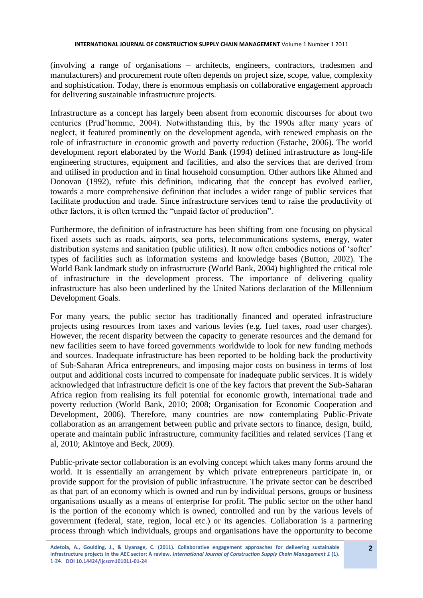(involving a range of organisations – architects, engineers, contractors, tradesmen and manufacturers) and procurement route often depends on project size, scope, value, complexity and sophistication. Today, there is enormous emphasis on collaborative engagement approach for delivering sustainable infrastructure projects.

Infrastructure as a concept has largely been absent from economic discourses for about two centuries (Prud'homme, 2004). Notwithstanding this, by the 1990s after many years of neglect, it featured prominently on the development agenda, with renewed emphasis on the role of infrastructure in economic growth and poverty reduction (Estache, 2006). The world development report elaborated by the World Bank (1994) defined infrastructure as long-life engineering structures, equipment and facilities, and also the services that are derived from and utilised in production and in final household consumption. Other authors like Ahmed and Donovan (1992), refute this definition, indicating that the concept has evolved earlier, towards a more comprehensive definition that includes a wider range of public services that facilitate production and trade. Since infrastructure services tend to raise the productivity of other factors, it is often termed the "unpaid factor of production".

Furthermore, the definition of infrastructure has been shifting from one focusing on physical fixed assets such as roads, airports, sea ports, telecommunications systems, energy, water distribution systems and sanitation (public utilities). It now often embodies notions of 'softer' types of facilities such as information systems and knowledge bases (Button, 2002). The World Bank landmark study on infrastructure (World Bank, 2004) highlighted the critical role of infrastructure in the development process. The importance of delivering quality infrastructure has also been underlined by the United Nations declaration of the Millennium Development Goals.

For many years, the public sector has traditionally financed and operated infrastructure projects using resources from taxes and various levies (e.g. fuel taxes, road user charges). However, the recent disparity between the capacity to generate resources and the demand for new facilities seem to have forced governments worldwide to look for new funding methods and sources. Inadequate infrastructure has been reported to be holding back the productivity of Sub-Saharan Africa entrepreneurs, and imposing major costs on business in terms of lost output and additional costs incurred to compensate for inadequate public services. It is widely acknowledged that infrastructure deficit is one of the key factors that prevent the Sub-Saharan Africa region from realising its full potential for economic growth, international trade and poverty reduction (World Bank, 2010; 2008; Organisation for Economic Cooperation and Development, 2006). Therefore, many countries are now contemplating Public-Private collaboration as an arrangement between public and private sectors to finance, design, build, operate and maintain public infrastructure, community facilities and related services (Tang et al, 2010; Akintoye and Beck, 2009).

Public-private sector collaboration is an evolving concept which takes many forms around the world. It is essentially an arrangement by which private entrepreneurs participate in, or provide support for the provision of public infrastructure. The private sector can be described as that part of an economy which is owned and run by individual persons, groups or business organisations usually as a means of enterprise for profit. The public sector on the other hand is the portion of the economy which is owned, controlled and run by the various levels of government (federal, state, region, local etc.) or its agencies. Collaboration is a partnering process through which individuals, groups and organisations have the opportunity to become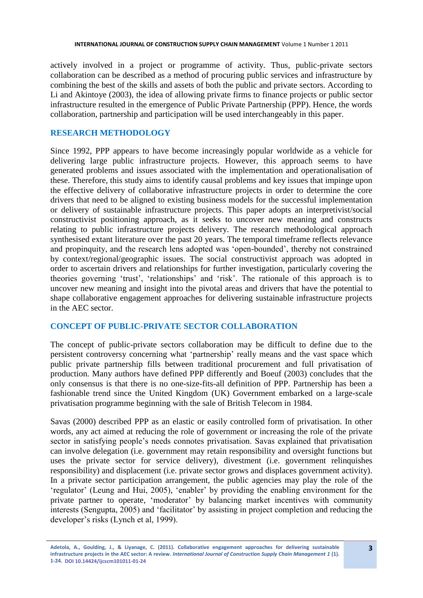actively involved in a project or programme of activity. Thus, public-private sectors collaboration can be described as a method of procuring public services and infrastructure by combining the best of the skills and assets of both the public and private sectors. According to Li and Akintoye (2003), the idea of allowing private firms to finance projects or public sector infrastructure resulted in the emergence of Public Private Partnership (PPP). Hence, the words collaboration, partnership and participation will be used interchangeably in this paper.

### **RESEARCH METHODOLOGY**

Since 1992, PPP appears to have become increasingly popular worldwide as a vehicle for delivering large public infrastructure projects. However, this approach seems to have generated problems and issues associated with the implementation and operationalisation of these. Therefore, this study aims to identify causal problems and key issues that impinge upon the effective delivery of collaborative infrastructure projects in order to determine the core drivers that need to be aligned to existing business models for the successful implementation or delivery of sustainable infrastructure projects. This paper adopts an interpretivist/social constructivist positioning approach, as it seeks to uncover new meaning and constructs relating to public infrastructure projects delivery. The research methodological approach synthesised extant literature over the past 20 years. The temporal timeframe reflects relevance and propinquity, and the research lens adopted was 'open-bounded', thereby not constrained by context/regional/geographic issues. The social constructivist approach was adopted in order to ascertain drivers and relationships for further investigation, particularly covering the theories governing 'trust', 'relationships' and 'risk'. The rationale of this approach is to uncover new meaning and insight into the pivotal areas and drivers that have the potential to shape collaborative engagement approaches for delivering sustainable infrastructure projects in the AEC sector.

# **CONCEPT OF PUBLIC-PRIVATE SECTOR COLLABORATION**

The concept of public-private sectors collaboration may be difficult to define due to the persistent controversy concerning what 'partnership' really means and the vast space which public private partnership fills between traditional procurement and full privatisation of production. Many authors have defined PPP differently and Boeuf (2003) concludes that the only consensus is that there is no one-size-fits-all definition of PPP. Partnership has been a fashionable trend since the United Kingdom (UK) Government embarked on a large-scale privatisation programme beginning with the sale of British Telecom in 1984.

Savas (2000) described PPP as an elastic or easily controlled form of privatisation. In other words, any act aimed at reducing the role of government or increasing the role of the private sector in satisfying people's needs connotes privatisation. Savas explained that privatisation can involve delegation (i.e. government may retain responsibility and oversight functions but uses the private sector for service delivery), divestment (i.e. government relinquishes responsibility) and displacement (i.e. private sector grows and displaces government activity). In a private sector participation arrangement, the public agencies may play the role of the 'regulator' (Leung and Hui, 2005), 'enabler' by providing the enabling environment for the private partner to operate, 'moderator' by balancing market incentives with community interests (Sengupta, 2005) and 'facilitator' by assisting in project completion and reducing the developer's risks (Lynch et al, 1999).

**Adetola, A., Goulding, J., & Liyanage, C. (2011). Collaborative engagement approaches for delivering sustainable infrastructure projects in the AEC sector: A review.** *International Journal of Construction Supply Chain Management 1* **(1). 1-24. DOI 10.14424/ijcscm101011-01-24**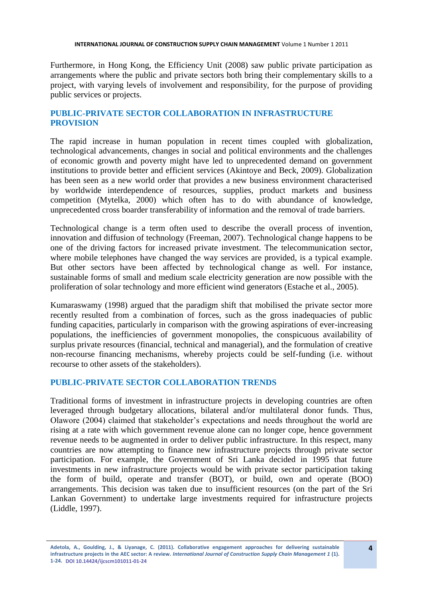Furthermore, in Hong Kong, the Efficiency Unit (2008) saw public private participation as arrangements where the public and private sectors both bring their complementary skills to a project, with varying levels of involvement and responsibility, for the purpose of providing public services or projects.

# **PUBLIC-PRIVATE SECTOR COLLABORATION IN INFRASTRUCTURE PROVISION**

The rapid increase in human population in recent times coupled with globalization, technological advancements, changes in social and political environments and the challenges of economic growth and poverty might have led to unprecedented demand on government institutions to provide better and efficient services (Akintoye and Beck, 2009). Globalization has been seen as a new world order that provides a new business environment characterised by worldwide interdependence of resources, supplies, product markets and business competition (Mytelka, 2000) which often has to do with abundance of knowledge, unprecedented cross boarder transferability of information and the removal of trade barriers.

Technological change is a term often used to describe the overall process of invention, innovation and diffusion of technology (Freeman, 2007). Technological change happens to be one of the driving factors for increased private investment. The telecommunication sector, where mobile telephones have changed the way services are provided, is a typical example. But other sectors have been affected by technological change as well. For instance, sustainable forms of small and medium scale electricity generation are now possible with the proliferation of solar technology and more efficient wind generators (Estache et al., 2005).

Kumaraswamy (1998) argued that the paradigm shift that mobilised the private sector more recently resulted from a combination of forces, such as the gross inadequacies of public funding capacities, particularly in comparison with the growing aspirations of ever-increasing populations, the inefficiencies of government monopolies, the conspicuous availability of surplus private resources (financial, technical and managerial), and the formulation of creative non-recourse financing mechanisms, whereby projects could be self-funding (i.e. without recourse to other assets of the stakeholders).

### **PUBLIC-PRIVATE SECTOR COLLABORATION TRENDS**

Traditional forms of investment in infrastructure projects in developing countries are often leveraged through budgetary allocations, bilateral and/or multilateral donor funds. Thus, Olawore (2004) claimed that stakeholder's expectations and needs throughout the world are rising at a rate with which government revenue alone can no longer cope, hence government revenue needs to be augmented in order to deliver public infrastructure. In this respect, many countries are now attempting to finance new infrastructure projects through private sector participation. For example, the Government of Sri Lanka decided in 1995 that future investments in new infrastructure projects would be with private sector participation taking the form of build, operate and transfer (BOT), or build, own and operate (BOO) arrangements. This decision was taken due to insufficient resources (on the part of the Sri Lankan Government) to undertake large investments required for infrastructure projects (Liddle, 1997).

**Adetola, A., Goulding, J., & Liyanage, C. (2011). Collaborative engagement approaches for delivering sustainable infrastructure projects in the AEC sector: A review.** *International Journal of Construction Supply Chain Management 1* **(1). 1-24. DOI 10.14424/ijcscm101011-01-24**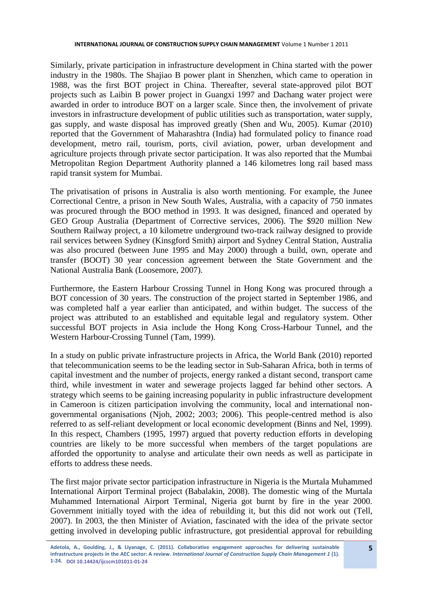Similarly, private participation in infrastructure development in China started with the power industry in the 1980s. The Shajiao B power plant in Shenzhen, which came to operation in 1988, was the first BOT project in China. Thereafter, several state-approved pilot BOT projects such as Laibin B power project in Guangxi 1997 and Dachang water project were awarded in order to introduce BOT on a larger scale. Since then, the involvement of private investors in infrastructure development of public utilities such as transportation, water supply, gas supply, and waste disposal has improved greatly (Shen and Wu, 2005). Kumar (2010) reported that the Government of Maharashtra (India) had formulated policy to finance road development, metro rail, tourism, ports, civil aviation, power, urban development and agriculture projects through private sector participation. It was also reported that the Mumbai Metropolitan Region Department Authority planned a 146 kilometres long rail based mass rapid transit system for Mumbai.

The privatisation of prisons in Australia is also worth mentioning. For example, the Junee Correctional Centre, a prison in New South Wales, Australia, with a capacity of 750 inmates was procured through the BOO method in 1993. It was designed, financed and operated by GEO Group Australia (Department of Corrective services, 2006). The \$920 million New Southern Railway project, a 10 kilometre underground two-track railway designed to provide rail services between Sydney (Kinsgford Smith) airport and Sydney Central Station, Australia was also procured (between June 1995 and May 2000) through a build, own, operate and transfer (BOOT) 30 year concession agreement between the State Government and the National Australia Bank (Loosemore, 2007).

Furthermore, the Eastern Harbour Crossing Tunnel in Hong Kong was procured through a BOT concession of 30 years. The construction of the project started in September 1986, and was completed half a year earlier than anticipated, and within budget. The success of the project was attributed to an established and equitable legal and regulatory system. Other successful BOT projects in Asia include the Hong Kong Cross-Harbour Tunnel, and the Western Harbour-Crossing Tunnel (Tam, 1999).

In a study on public private infrastructure projects in Africa, the World Bank (2010) reported that telecommunication seems to be the leading sector in Sub-Saharan Africa, both in terms of capital investment and the number of projects, energy ranked a distant second, transport came third, while investment in water and sewerage projects lagged far behind other sectors. A strategy which seems to be gaining increasing popularity in public infrastructure development in Cameroon is citizen participation involving the community, local and international nongovernmental organisations (Njoh, 2002; 2003; 2006). This people-centred method is also referred to as self-reliant development or local economic development (Binns and Nel, 1999). In this respect, Chambers (1995, 1997) argued that poverty reduction efforts in developing countries are likely to be more successful when members of the target populations are afforded the opportunity to analyse and articulate their own needs as well as participate in efforts to address these needs.

The first major private sector participation infrastructure in Nigeria is the Murtala Muhammed International Airport Terminal project (Babalakin, 2008). The domestic wing of the Murtala Muhammed International Airport Terminal, Nigeria got burnt by fire in the year 2000. Government initially toyed with the idea of rebuilding it, but this did not work out (Tell, 2007). In 2003, the then Minister of Aviation, fascinated with the idea of the private sector getting involved in developing public infrastructure, got presidential approval for rebuilding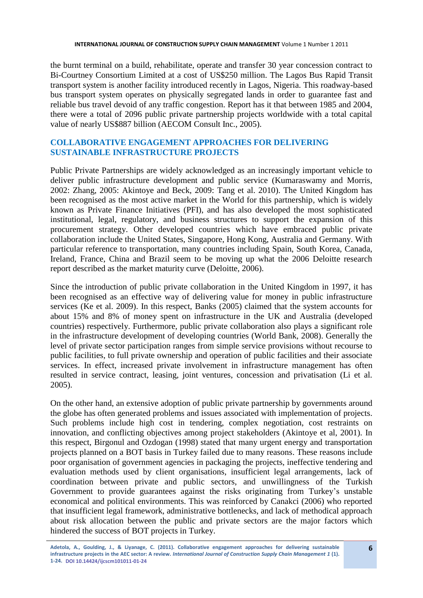the burnt terminal on a build, rehabilitate, operate and transfer 30 year concession contract to Bi-Courtney Consortium Limited at a cost of US\$250 million. The Lagos Bus Rapid Transit transport system is another facility introduced recently in Lagos, Nigeria. This roadway-based bus transport system operates on physically segregated lands in order to guarantee fast and reliable bus travel devoid of any traffic congestion. Report has it that between 1985 and 2004, there were a total of 2096 public private partnership projects worldwide with a total capital value of nearly US\$887 billion (AECOM Consult Inc., 2005).

# **COLLABORATIVE ENGAGEMENT APPROACHES FOR DELIVERING SUSTAINABLE INFRASTRUCTURE PROJECTS**

Public Private Partnerships are widely acknowledged as an increasingly important vehicle to deliver public infrastructure development and public service (Kumaraswamy and Morris, 2002: Zhang, 2005: Akintoye and Beck, 2009: Tang et al. 2010). The United Kingdom has been recognised as the most active market in the World for this partnership, which is widely known as Private Finance Initiatives (PFI), and has also developed the most sophisticated institutional, legal, regulatory, and business structures to support the expansion of this procurement strategy. Other developed countries which have embraced public private collaboration include the United States, Singapore, Hong Kong, Australia and Germany. With particular reference to transportation, many countries including Spain, South Korea, Canada, Ireland, France, China and Brazil seem to be moving up what the 2006 Deloitte research report described as the market maturity curve (Deloitte, 2006).

Since the introduction of public private collaboration in the United Kingdom in 1997, it has been recognised as an effective way of delivering value for money in public infrastructure services (Ke et al. 2009). In this respect, Banks (2005) claimed that the system accounts for about 15% and 8% of money spent on infrastructure in the UK and Australia (developed countries) respectively. Furthermore, public private collaboration also plays a significant role in the infrastructure development of developing countries (World Bank, 2008). Generally the level of private sector participation ranges from simple service provisions without recourse to public facilities, to full private ownership and operation of public facilities and their associate services. In effect, increased private involvement in infrastructure management has often resulted in service contract, leasing, joint ventures, concession and privatisation (Li et al. 2005).

On the other hand, an extensive adoption of public private partnership by governments around the globe has often generated problems and issues associated with implementation of projects. Such problems include high cost in tendering, complex negotiation, cost restraints on innovation, and conflicting objectives among project stakeholders (Akintoye et al, 2001). In this respect, Birgonul and Ozdogan (1998) stated that many urgent energy and transportation projects planned on a BOT basis in Turkey failed due to many reasons. These reasons include poor organisation of government agencies in packaging the projects, ineffective tendering and evaluation methods used by client organisations, insufficient legal arrangements, lack of coordination between private and public sectors, and unwillingness of the Turkish Government to provide guarantees against the risks originating from Turkey's unstable economical and political environments. This was reinforced by Canakci (2006) who reported that insufficient legal framework, administrative bottlenecks, and lack of methodical approach about risk allocation between the public and private sectors are the major factors which hindered the success of BOT projects in Turkey.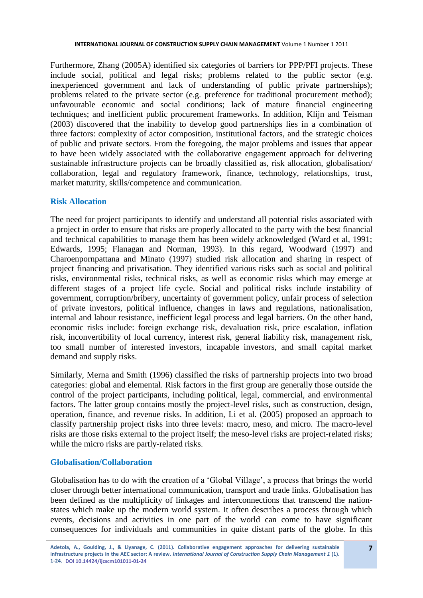Furthermore, Zhang (2005A) identified six categories of barriers for PPP/PFI projects. These include social, political and legal risks; problems related to the public sector (e.g. inexperienced government and lack of understanding of public private partnerships); problems related to the private sector (e.g. preference for traditional procurement method); unfavourable economic and social conditions; lack of mature financial engineering techniques; and inefficient public procurement frameworks. In addition, Klijn and Teisman (2003) discovered that the inability to develop good partnerships lies in a combination of three factors: complexity of actor composition, institutional factors, and the strategic choices of public and private sectors. From the foregoing, the major problems and issues that appear to have been widely associated with the collaborative engagement approach for delivering sustainable infrastructure projects can be broadly classified as, risk allocation, globalisation/ collaboration, legal and regulatory framework, finance, technology, relationships, trust, market maturity, skills/competence and communication.

### **Risk Allocation**

The need for project participants to identify and understand all potential risks associated with a project in order to ensure that risks are properly allocated to the party with the best financial and technical capabilities to manage them has been widely acknowledged (Ward et al, 1991; Edwards, 1995; Flanagan and Norman, 1993). In this regard, Woodward (1997) and Charoenpornpattana and Minato (1997) studied risk allocation and sharing in respect of project financing and privatisation. They identified various risks such as social and political risks, environmental risks, technical risks, as well as economic risks which may emerge at different stages of a project life cycle. Social and political risks include instability of government, corruption/bribery, uncertainty of government policy, unfair process of selection of private investors, political influence, changes in laws and regulations, nationalisation, internal and labour resistance, inefficient legal process and legal barriers. On the other hand, economic risks include: foreign exchange risk, devaluation risk, price escalation, inflation risk, inconvertibility of local currency, interest risk, general liability risk, management risk, too small number of interested investors, incapable investors, and small capital market demand and supply risks.

Similarly, Merna and Smith (1996) classified the risks of partnership projects into two broad categories: global and elemental. Risk factors in the first group are generally those outside the control of the project participants, including political, legal, commercial, and environmental factors. The latter group contains mostly the project-level risks, such as construction, design, operation, finance, and revenue risks. In addition, Li et al. (2005) proposed an approach to classify partnership project risks into three levels: macro, meso, and micro. The macro-level risks are those risks external to the project itself; the meso-level risks are project-related risks; while the micro risks are partly-related risks.

### **Globalisation/Collaboration**

Globalisation has to do with the creation of a 'Global Village', a process that brings the world closer through better international communication, transport and trade links. Globalisation has been defined as the multiplicity of linkages and interconnections that transcend the nationstates which make up the modern world system. It often describes a process through which events, decisions and activities in one part of the world can come to have significant consequences for individuals and communities in quite distant parts of the globe. In this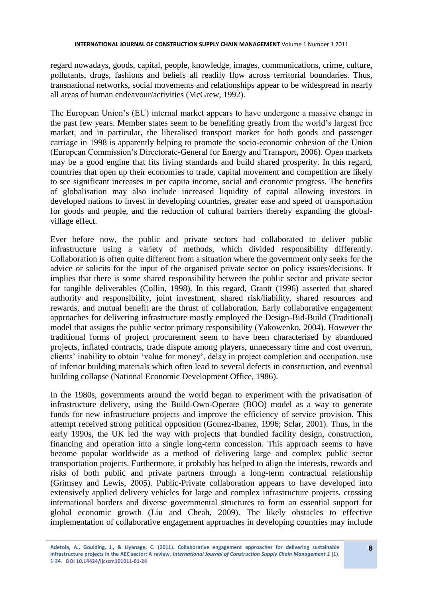regard nowadays, goods, capital, people, knowledge, images, communications, crime, culture, pollutants, drugs, fashions and beliefs all readily flow across territorial boundaries. Thus, transnational networks, social movements and relationships appear to be widespread in nearly all areas of human endeavour/activities (McGrew, 1992).

The European Union's (EU) internal market appears to have undergone a massive change in the past few years. Member states seem to be benefiting greatly from the world's largest free market, and in particular, the liberalised transport market for both goods and passenger carriage in 1998 is apparently helping to promote the socio-economic cohesion of the Union (European Commission's Directorate-General for Energy and Transport, 2006). Open markets may be a good engine that fits living standards and build shared prosperity. In this regard, countries that open up their economies to trade, capital movement and competition are likely to see significant increases in per capita income, social and economic progress. The benefits of globalisation may also include increased liquidity of capital allowing investors in developed nations to invest in developing countries, greater ease and speed of transportation for goods and people, and the reduction of cultural barriers thereby expanding the globalvillage effect.

Ever before now, the public and private sectors had collaborated to deliver public infrastructure using a variety of methods, which divided responsibility differently. Collaboration is often quite different from a situation where the government only seeks for the advice or solicits for the input of the organised private sector on policy issues/decisions. It implies that there is some shared responsibility between the public sector and private sector for tangible deliverables (Collin, 1998). In this regard, Grantt (1996) asserted that shared authority and responsibility, joint investment, shared risk/liability, shared resources and rewards, and mutual benefit are the thrust of collaboration. Early collaborative engagement approaches for delivering infrastructure mostly employed the Design-Bid-Build (Traditional) model that assigns the public sector primary responsibility (Yakowenko, 2004). However the traditional forms of project procurement seem to have been characterised by abandoned projects, inflated contracts, trade dispute among players, unnecessary time and cost overrun, clients' inability to obtain 'value for money', delay in project completion and occupation, use of inferior building materials which often lead to several defects in construction, and eventual building collapse (National Economic Development Office, 1986).

In the 1980s, governments around the world began to experiment with the privatisation of infrastructure delivery, using the Build-Own-Operate (BOO) model as a way to generate funds for new infrastructure projects and improve the efficiency of service provision. This attempt received strong political opposition (Gomez-Ibanez, 1996; Sclar, 2001). Thus, in the early 1990s, the UK led the way with projects that bundled facility design, construction, financing and operation into a single long-term concession. This approach seems to have become popular worldwide as a method of delivering large and complex public sector transportation projects. Furthermore, it probably has helped to align the interests, rewards and risks of both public and private partners through a long-term contractual relationship (Grimsey and Lewis, 2005). Public-Private collaboration appears to have developed into extensively applied delivery vehicles for large and complex infrastructure projects, crossing international borders and diverse governmental structures to form an essential support for global economic growth (Liu and Cheah, 2009). The likely obstacles to effective implementation of collaborative engagement approaches in developing countries may include

**Adetola, A., Goulding, J., & Liyanage, C. (2011). Collaborative engagement approaches for delivering sustainable infrastructure projects in the AEC sector: A review.** *International Journal of Construction Supply Chain Management 1* **(1). 1-24. DOI 10.14424/ijcscm101011-01-24**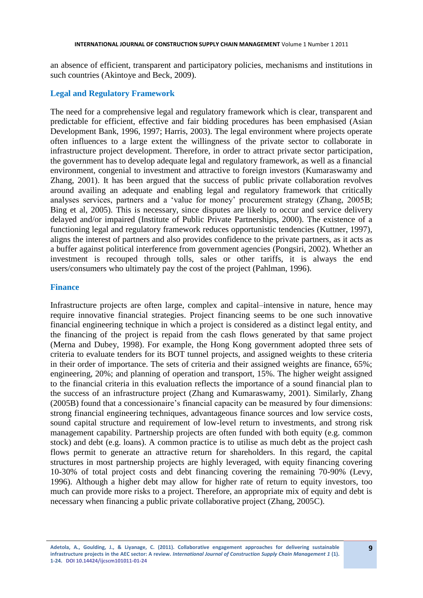an absence of efficient, transparent and participatory policies, mechanisms and institutions in such countries (Akintoye and Beck, 2009).

### **Legal and Regulatory Framework**

The need for a comprehensive legal and regulatory framework which is clear, transparent and predictable for efficient, effective and fair bidding procedures has been emphasised (Asian Development Bank, 1996, 1997; Harris, 2003). The legal environment where projects operate often influences to a large extent the willingness of the private sector to collaborate in infrastructure project development. Therefore, in order to attract private sector participation, the government has to develop adequate legal and regulatory framework, as well as a financial environment, congenial to investment and attractive to foreign investors (Kumaraswamy and Zhang, 2001). It has been argued that the success of public private collaboration revolves around availing an adequate and enabling legal and regulatory framework that critically analyses services, partners and a 'value for money' procurement strategy (Zhang, 2005B; Bing et al, 2005). This is necessary, since disputes are likely to occur and service delivery delayed and/or impaired (Institute of Public Private Partnerships, 2000). The existence of a functioning legal and regulatory framework reduces opportunistic tendencies (Kuttner, 1997), aligns the interest of partners and also provides confidence to the private partners, as it acts as a buffer against political interference from government agencies (Pongsiri, 2002). Whether an investment is recouped through tolls, sales or other tariffs, it is always the end users/consumers who ultimately pay the cost of the project (Pahlman, 1996).

#### **Finance**

Infrastructure projects are often large, complex and capital–intensive in nature, hence may require innovative financial strategies. Project financing seems to be one such innovative financial engineering technique in which a project is considered as a distinct legal entity, and the financing of the project is repaid from the cash flows generated by that same project (Merna and Dubey, 1998). For example, the Hong Kong government adopted three sets of criteria to evaluate tenders for its BOT tunnel projects, and assigned weights to these criteria in their order of importance. The sets of criteria and their assigned weights are finance, 65%; engineering, 20%; and planning of operation and transport, 15%. The higher weight assigned to the financial criteria in this evaluation reflects the importance of a sound financial plan to the success of an infrastructure project (Zhang and Kumaraswamy, 2001). Similarly, Zhang (2005B) found that a concessionaire's financial capacity can be measured by four dimensions: strong financial engineering techniques, advantageous finance sources and low service costs, sound capital structure and requirement of low-level return to investments, and strong risk management capability. Partnership projects are often funded with both equity (e.g. common stock) and debt (e.g. loans). A common practice is to utilise as much debt as the project cash flows permit to generate an attractive return for shareholders. In this regard, the capital structures in most partnership projects are highly leveraged, with equity financing covering 10-30% of total project costs and debt financing covering the remaining 70-90% (Levy, 1996). Although a higher debt may allow for higher rate of return to equity investors, too much can provide more risks to a project. Therefore, an appropriate mix of equity and debt is necessary when financing a public private collaborative project (Zhang, 2005C).

**Adetola, A., Goulding, J., & Liyanage, C. (2011). Collaborative engagement approaches for delivering sustainable infrastructure projects in the AEC sector: A review.** *International Journal of Construction Supply Chain Management 1* **(1). 1-24. DOI 10.14424/ijcscm101011-01-24**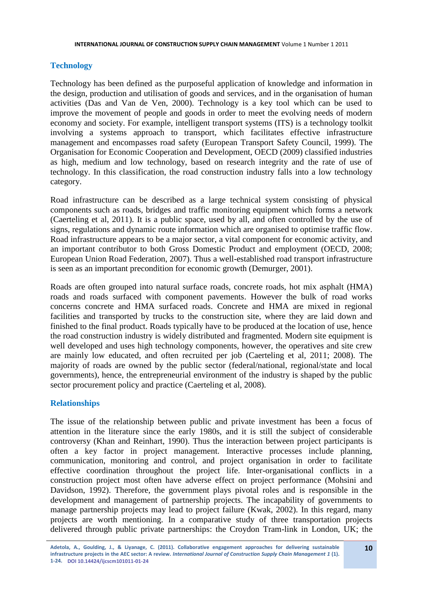### **Technology**

Technology has been defined as the purposeful application of knowledge and information in the design, production and utilisation of goods and services, and in the organisation of human activities (Das and Van de Ven, 2000). Technology is a key tool which can be used to improve the movement of people and goods in order to meet the evolving needs of modern economy and society. For example, intelligent transport systems (ITS) is a technology toolkit involving a systems approach to transport, which facilitates effective infrastructure management and encompasses road safety (European Transport Safety Council, 1999). The Organisation for Economic Cooperation and Development, OECD (2009) classified industries as high, medium and low technology, based on research integrity and the rate of use of technology. In this classification, the road construction industry falls into a low technology category.

Road infrastructure can be described as a large technical system consisting of physical components such as roads, bridges and traffic monitoring equipment which forms a network (Caerteling et al, 2011). It is a public space, used by all, and often controlled by the use of signs, regulations and dynamic route information which are organised to optimise traffic flow. Road infrastructure appears to be a major sector, a vital component for economic activity, and an important contributor to both Gross Domestic Product and employment (OECD, 2008; European Union Road Federation, 2007). Thus a well-established road transport infrastructure is seen as an important precondition for economic growth (Demurger, 2001).

Roads are often grouped into natural surface roads, concrete roads, hot mix asphalt (HMA) roads and roads surfaced with component pavements. However the bulk of road works concerns concrete and HMA surfaced roads. Concrete and HMA are mixed in regional facilities and transported by trucks to the construction site, where they are laid down and finished to the final product. Roads typically have to be produced at the location of use, hence the road construction industry is widely distributed and fragmented. Modern site equipment is well developed and uses high technology components, however, the operatives and site crew are mainly low educated, and often recruited per job (Caerteling et al, 2011; 2008). The majority of roads are owned by the public sector (federal/national, regional/state and local governments), hence, the entrepreneurial environment of the industry is shaped by the public sector procurement policy and practice (Caerteling et al, 2008).

### **Relationships**

The issue of the relationship between public and private investment has been a focus of attention in the literature since the early 1980s, and it is still the subject of considerable controversy (Khan and Reinhart, 1990). Thus the interaction between project participants is often a key factor in project management. Interactive processes include planning, communication, monitoring and control, and project organisation in order to facilitate effective coordination throughout the project life. Inter-organisational conflicts in a construction project most often have adverse effect on project performance (Mohsini and Davidson, 1992). Therefore, the government plays pivotal roles and is responsible in the development and management of partnership projects. The incapability of governments to manage partnership projects may lead to project failure (Kwak, 2002). In this regard, many projects are worth mentioning. In a comparative study of three transportation projects delivered through public private partnerships: the Croydon Tram-link in London, UK; the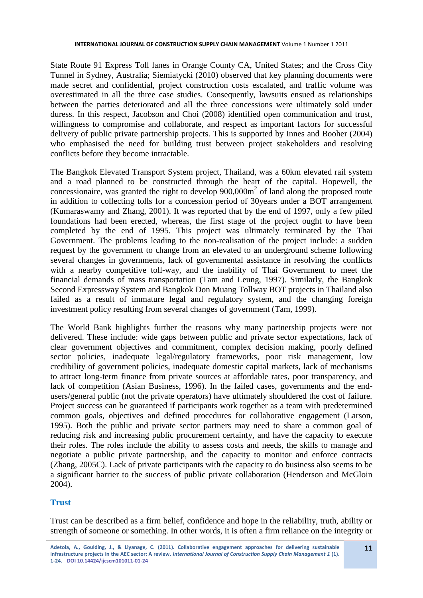State Route 91 Express Toll lanes in Orange County CA, United States; and the Cross City Tunnel in Sydney, Australia; Siemiatycki (2010) observed that key planning documents were made secret and confidential, project construction costs escalated, and traffic volume was overestimated in all the three case studies. Consequently, lawsuits ensued as relationships between the parties deteriorated and all the three concessions were ultimately sold under duress. In this respect, Jacobson and Choi (2008) identified open communication and trust, willingness to compromise and collaborate, and respect as important factors for successful delivery of public private partnership projects. This is supported by Innes and Booher (2004) who emphasised the need for building trust between project stakeholders and resolving conflicts before they become intractable.

The Bangkok Elevated Transport System project, Thailand, was a 60km elevated rail system and a road planned to be constructed through the heart of the capital. Hopewell, the concessionaire, was granted the right to develop  $900,000m^2$  of land along the proposed route in addition to collecting tolls for a concession period of 30years under a BOT arrangement (Kumaraswamy and Zhang, 2001). It was reported that by the end of 1997, only a few piled foundations had been erected, whereas, the first stage of the project ought to have been completed by the end of 1995. This project was ultimately terminated by the Thai Government. The problems leading to the non-realisation of the project include: a sudden request by the government to change from an elevated to an underground scheme following several changes in governments, lack of governmental assistance in resolving the conflicts with a nearby competitive toll-way, and the inability of Thai Government to meet the financial demands of mass transportation (Tam and Leung, 1997). Similarly, the Bangkok Second Expressway System and Bangkok Don Muang Tollway BOT projects in Thailand also failed as a result of immature legal and regulatory system, and the changing foreign investment policy resulting from several changes of government (Tam, 1999).

The World Bank highlights further the reasons why many partnership projects were not delivered. These include: wide gaps between public and private sector expectations, lack of clear government objectives and commitment, complex decision making, poorly defined sector policies, inadequate legal/regulatory frameworks, poor risk management, low credibility of government policies, inadequate domestic capital markets, lack of mechanisms to attract long-term finance from private sources at affordable rates, poor transparency, and lack of competition (Asian Business, 1996). In the failed cases, governments and the endusers/general public (not the private operators) have ultimately shouldered the cost of failure. Project success can be guaranteed if participants work together as a team with predetermined common goals, objectives and defined procedures for collaborative engagement (Larson, 1995). Both the public and private sector partners may need to share a common goal of reducing risk and increasing public procurement certainty, and have the capacity to execute their roles. The roles include the ability to assess costs and needs, the skills to manage and negotiate a public private partnership, and the capacity to monitor and enforce contracts (Zhang, 2005C). Lack of private participants with the capacity to do business also seems to be a significant barrier to the success of public private collaboration (Henderson and McGloin 2004).

# **Trust**

Trust can be described as a firm belief, confidence and hope in the reliability, truth, ability or strength of someone or something. In other words, it is often a firm reliance on the integrity or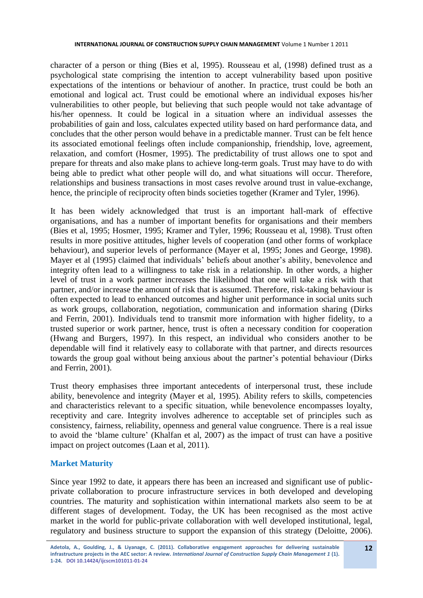character of a person or thing (Bies et al, 1995). Rousseau et al, (1998) defined trust as a psychological state comprising the intention to accept vulnerability based upon positive expectations of the intentions or behaviour of another. In practice, trust could be both an emotional and logical act. Trust could be emotional where an individual exposes his/her vulnerabilities to other people, but believing that such people would not take advantage of his/her openness. It could be logical in a situation where an individual assesses the probabilities of gain and loss, calculates expected utility based on hard performance data, and concludes that the other person would behave in a predictable manner. Trust can be felt hence its associated emotional feelings often include companionship, friendship, love, agreement, relaxation, and comfort (Hosmer, 1995). The predictability of trust allows one to spot and prepare for threats and also make plans to achieve long-term goals. Trust may have to do with being able to predict what other people will do, and what situations will occur. Therefore, relationships and business transactions in most cases revolve around trust in value-exchange, hence, the principle of reciprocity often binds societies together (Kramer and Tyler, 1996).

It has been widely acknowledged that trust is an important hall-mark of effective organisations, and has a number of important benefits for organisations and their members (Bies et al, 1995; Hosmer, 1995; Kramer and Tyler, 1996; Rousseau et al, 1998). Trust often results in more positive attitudes, higher levels of cooperation (and other forms of workplace behaviour), and superior levels of performance (Mayer et al, 1995; Jones and George, 1998). Mayer et al (1995) claimed that individuals' beliefs about another's ability, benevolence and integrity often lead to a willingness to take risk in a relationship. In other words, a higher level of trust in a work partner increases the likelihood that one will take a risk with that partner, and/or increase the amount of risk that is assumed. Therefore, risk-taking behaviour is often expected to lead to enhanced outcomes and higher unit performance in social units such as work groups, collaboration, negotiation, communication and information sharing (Dirks and Ferrin, 2001). Individuals tend to transmit more information with higher fidelity, to a trusted superior or work partner, hence, trust is often a necessary condition for cooperation (Hwang and Burgers, 1997). In this respect, an individual who considers another to be dependable will find it relatively easy to collaborate with that partner, and directs resources towards the group goal without being anxious about the partner's potential behaviour (Dirks and Ferrin, 2001).

Trust theory emphasises three important antecedents of interpersonal trust, these include ability, benevolence and integrity (Mayer et al, 1995). Ability refers to skills, competencies and characteristics relevant to a specific situation, while benevolence encompasses loyalty, receptivity and care. Integrity involves adherence to acceptable set of principles such as consistency, fairness, reliability, openness and general value congruence. There is a real issue to avoid the 'blame culture' (Khalfan et al, 2007) as the impact of trust can have a positive impact on project outcomes (Laan et al, 2011).

# **Market Maturity**

Since year 1992 to date, it appears there has been an increased and significant use of publicprivate collaboration to procure infrastructure services in both developed and developing countries. The maturity and sophistication within international markets also seem to be at different stages of development. Today, the UK has been recognised as the most active market in the world for public-private collaboration with well developed institutional, legal, regulatory and business structure to support the expansion of this strategy (Deloitte, 2006).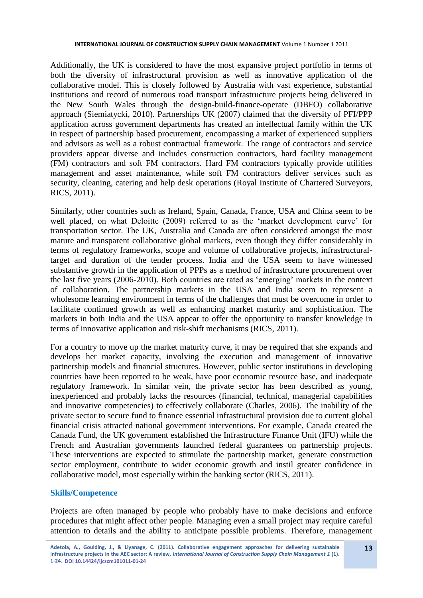Additionally, the UK is considered to have the most expansive project portfolio in terms of both the diversity of infrastructural provision as well as innovative application of the collaborative model. This is closely followed by Australia with vast experience, substantial institutions and record of numerous road transport infrastructure projects being delivered in the New South Wales through the design-build-finance-operate (DBFO) collaborative approach (Siemiatycki, 2010). Partnerships UK (2007) claimed that the diversity of PFI/PPP application across government departments has created an intellectual family within the UK in respect of partnership based procurement, encompassing a market of experienced suppliers and advisors as well as a robust contractual framework. The range of contractors and service providers appear diverse and includes construction contractors, hard facility management (FM) contractors and soft FM contractors. Hard FM contractors typically provide utilities management and asset maintenance, while soft FM contractors deliver services such as security, cleaning, catering and help desk operations (Royal Institute of Chartered Surveyors, RICS, 2011).

Similarly, other countries such as Ireland, Spain, Canada, France, USA and China seem to be well placed, on what Deloitte (2009) referred to as the 'market development curve' for transportation sector. The UK, Australia and Canada are often considered amongst the most mature and transparent collaborative global markets, even though they differ considerably in terms of regulatory frameworks, scope and volume of collaborative projects, infrastructuraltarget and duration of the tender process. India and the USA seem to have witnessed substantive growth in the application of PPPs as a method of infrastructure procurement over the last five years (2006-2010). Both countries are rated as 'emerging' markets in the context of collaboration. The partnership markets in the USA and India seem to represent a wholesome learning environment in terms of the challenges that must be overcome in order to facilitate continued growth as well as enhancing market maturity and sophistication. The markets in both India and the USA appear to offer the opportunity to transfer knowledge in terms of innovative application and risk-shift mechanisms (RICS, 2011).

For a country to move up the market maturity curve, it may be required that she expands and develops her market capacity, involving the execution and management of innovative partnership models and financial structures. However, public sector institutions in developing countries have been reported to be weak, have poor economic resource base, and inadequate regulatory framework. In similar vein, the private sector has been described as young, inexperienced and probably lacks the resources (financial, technical, managerial capabilities and innovative competencies) to effectively collaborate (Charles, 2006). The inability of the private sector to secure fund to finance essential infrastructural provision due to current global financial crisis attracted national government interventions. For example, Canada created the Canada Fund, the UK government established the Infrastructure Finance Unit (IFU) while the French and Australian governments launched federal guarantees on partnership projects. These interventions are expected to stimulate the partnership market, generate construction sector employment, contribute to wider economic growth and instil greater confidence in collaborative model, most especially within the banking sector (RICS, 2011).

### **Skills/Competence**

Projects are often managed by people who probably have to make decisions and enforce procedures that might affect other people. Managing even a small project may require careful attention to details and the ability to anticipate possible problems. Therefore, management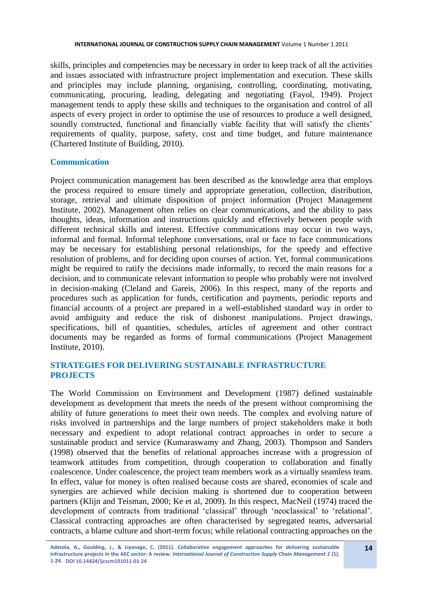skills, principles and competencies may be necessary in order to keep track of all the activities and issues associated with infrastructure project implementation and execution. These skills and principles may include planning, organising, controlling, coordinating, motivating, communicating, procuring, leading, delegating and negotiating (Fayol, 1949). Project management tends to apply these skills and techniques to the organisation and control of all aspects of every project in order to optimise the use of resources to produce a well designed, soundly constructed, functional and financially viable facility that will satisfy the clients' requirements of quality, purpose, safety, cost and time budget, and future maintenance (Chartered Institute of Building, 2010).

### **Communication**

Project communication management has been described as the knowledge area that employs the process required to ensure timely and appropriate generation, collection, distribution, storage, retrieval and ultimate disposition of project information (Project Management Institute, 2002). Management often relies on clear communications, and the ability to pass thoughts, ideas, information and instructions quickly and effectively between people with different technical skills and interest. Effective communications may occur in two ways, informal and formal. Informal telephone conversations, oral or face to face communications may be necessary for establishing personal relationships, for the speedy and effective resolution of problems, and for deciding upon courses of action. Yet, formal communications might be required to ratify the decisions made informally, to record the main reasons for a decision, and to communicate relevant information to people who probably were not involved in decision-making (Cleland and Gareis, 2006). In this respect, many of the reports and procedures such as application for funds, certification and payments, periodic reports and financial accounts of a project are prepared in a well-established standard way in order to avoid ambiguity and reduce the risk of dishonest manipulations. Project drawings, specifications, bill of quantities, schedules, articles of agreement and other contract documents may be regarded as forms of formal communications (Project Management Institute, 2010).

### **STRATEGIES FOR DELIVERING SUSTAINABLE INFRASTRUCTURE PROJECTS**

The World Commission on Environment and Development (1987) defined sustainable development as development that meets the needs of the present without compromising the ability of future generations to meet their own needs. The complex and evolving nature of risks involved in partnerships and the large numbers of project stakeholders make it both necessary and expedient to adopt relational contract approaches in order to secure a sustainable product and service (Kumaraswamy and Zhang, 2003). Thompson and Sanders (1998) observed that the benefits of relational approaches increase with a progression of teamwork attitudes from competition, through cooperation to collaboration and finally coalescence. Under coalescence, the project team members work as a virtually seamless team. In effect, value for money is often realised because costs are shared, economies of scale and synergies are achieved while decision making is shortened due to cooperation between partners (Klijn and Teisman, 2000; Ke et al, 2009). In this respect, MacNeil (1974) traced the development of contracts from traditional 'classical' through 'neoclassical' to 'relational'. Classical contracting approaches are often characterised by segregated teams, adversarial contracts, a blame culture and short-term focus; while relational contracting approaches on the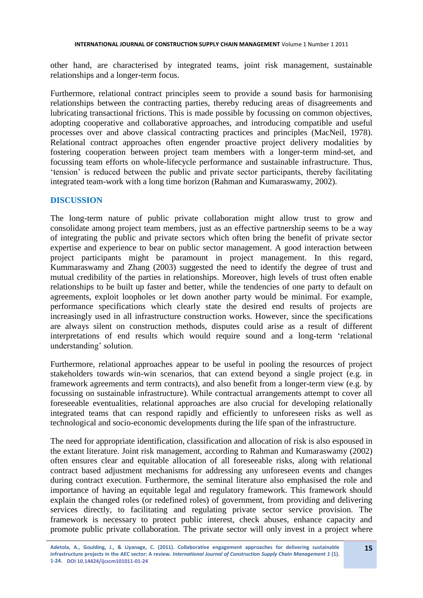other hand, are characterised by integrated teams, joint risk management, sustainable relationships and a longer-term focus.

Furthermore, relational contract principles seem to provide a sound basis for harmonising relationships between the contracting parties, thereby reducing areas of disagreements and lubricating transactional frictions. This is made possible by focussing on common objectives, adopting cooperative and collaborative approaches, and introducing compatible and useful processes over and above classical contracting practices and principles (MacNeil, 1978). Relational contract approaches often engender proactive project delivery modalities by fostering cooperation between project team members with a longer-term mind-set, and focussing team efforts on whole-lifecycle performance and sustainable infrastructure. Thus, 'tension' is reduced between the public and private sector participants, thereby facilitating integrated team-work with a long time horizon (Rahman and Kumaraswamy, 2002).

### **DISCUSSION**

The long-term nature of public private collaboration might allow trust to grow and consolidate among project team members, just as an effective partnership seems to be a way of integrating the public and private sectors which often bring the benefit of private sector expertise and experience to bear on public sector management. A good interaction between project participants might be paramount in project management. In this regard, Kummaraswamy and Zhang (2003) suggested the need to identify the degree of trust and mutual credibility of the parties in relationships. Moreover, high levels of trust often enable relationships to be built up faster and better, while the tendencies of one party to default on agreements, exploit loopholes or let down another party would be minimal. For example, performance specifications which clearly state the desired end results of projects are increasingly used in all infrastructure construction works. However, since the specifications are always silent on construction methods, disputes could arise as a result of different interpretations of end results which would require sound and a long-term 'relational understanding' solution.

Furthermore, relational approaches appear to be useful in pooling the resources of project stakeholders towards win-win scenarios, that can extend beyond a single project (e.g. in framework agreements and term contracts), and also benefit from a longer-term view (e.g. by focussing on sustainable infrastructure). While contractual arrangements attempt to cover all foreseeable eventualities, relational approaches are also crucial for developing relationally integrated teams that can respond rapidly and efficiently to unforeseen risks as well as technological and socio-economic developments during the life span of the infrastructure.

The need for appropriate identification, classification and allocation of risk is also espoused in the extant literature. Joint risk management, according to Rahman and Kumaraswamy (2002) often ensures clear and equitable allocation of all foreseeable risks, along with relational contract based adjustment mechanisms for addressing any unforeseen events and changes during contract execution. Furthermore, the seminal literature also emphasised the role and importance of having an equitable legal and regulatory framework. This framework should explain the changed roles (or redefined roles) of government, from providing and delivering services directly, to facilitating and regulating private sector service provision. The framework is necessary to protect public interest, check abuses, enhance capacity and promote public private collaboration. The private sector will only invest in a project where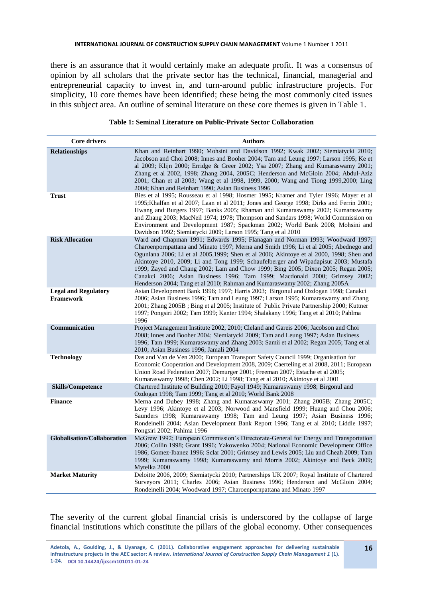there is an assurance that it would certainly make an adequate profit. It was a consensus of opinion by all scholars that the private sector has the technical, financial, managerial and entrepreneurial capacity to invest in, and turn-around public infrastructure projects. For simplicity, 10 core themes have been identified; these being the most commonly cited issues in this subject area. An outline of seminal literature on these core themes is given in Table 1.

| Table 1: Seminal Literature on Public-Private Sector Collaboration |  |  |
|--------------------------------------------------------------------|--|--|
|--------------------------------------------------------------------|--|--|

| <b>Core drivers</b>                             | <b>Authors</b>                                                                                                                                                                                                                                                                                                                                                                                                                                                                                                                                                                                            |
|-------------------------------------------------|-----------------------------------------------------------------------------------------------------------------------------------------------------------------------------------------------------------------------------------------------------------------------------------------------------------------------------------------------------------------------------------------------------------------------------------------------------------------------------------------------------------------------------------------------------------------------------------------------------------|
| <b>Relationships</b>                            | Khan and Reinhart 1990; Mohsini and Davidson 1992; Kwak 2002; Siemiatycki 2010;<br>Jacobson and Choi 2008; Innes and Booher 2004; Tam and Leung 1997; Larson 1995; Ke et<br>al 2009; Klijn 2000; Erridge & Greer 2002; Ysa 2007; Zhang and Kumaraswamy 2001;<br>Zhang et al 2002, 1998; Zhang 2004, 2005C; Henderson and McGloin 2004; Abdul-Aziz<br>2001; Chan et al 2003; Wang et al 1998, 1999, 2000; Wang and Tiong 1999, 2000; Ling<br>2004; Khan and Reinhart 1990; Asian Business 1996                                                                                                             |
| <b>Trust</b>                                    | Bies et al 1995; Rousseau et al 1998; Hosmer 1995; Kramer and Tyler 1996; Mayer et al<br>1995; Khalfan et al 2007; Laan et al 2011; Jones and George 1998; Dirks and Ferrin 2001;<br>Hwang and Burgers 1997; Banks 2005; Rhaman and Kumaraswamy 2002; Kumaraswamy<br>and Zhang 2003; MacNeil 1974; 1978; Thompson and Sandars 1998; World Commission on<br>Environment and Development 1987; Spackman 2002; World Bank 2008; Mohsini and<br>Davidson 1992; Siemiatycki 2009; Larson 1995; Tang et al 2010                                                                                                 |
| <b>Risk Allocation</b>                          | Ward and Chapman 1991; Edwards 1995; Flanagan and Norman 1993; Woodward 1997;<br>Charoenpornpattana and Minato 1997; Merna and Smith 1996; Li et al 2005; Abednego and<br>Ogunlana 2006; Li et al 2005,1999; Shen et al 2006; Akintoye et al 2000, 1998; Sheu and<br>Akintoye 2010, 2009; Li and Tong 1999; Schaufelberger and Wipadapisut 2003; Mustafa<br>1999; Zayed and Chang 2002; Lam and Chow 1999; Bing 2005; Dixon 2005; Regan 2005;<br>Canakci 2006; Asian Business 1996; Tam 1999; Macdonald 2000; Grimsey 2002;<br>Henderson 2004; Tang et al 2010; Rahman and Kumaraswamy 2002; Zhang 2005 A |
| <b>Legal and Regulatory</b><br><b>Framework</b> | Asian Development Bank 1996; 1997; Harris 2003; Birgonul and Ozdogan 1998; Canakci<br>2006; Asian Business 1996; Tam and Leung 1997; Larson 1995; Kumaraswamy and Zhang<br>2001; Zhang 2005B; Bing et al 2005; Institute of Public Private Partnership 2000; Kuttner<br>1997; Pongsiri 2002; Tam 1999; Kanter 1994; Shalakany 1996; Tang et al 2010; Pahlma<br>1996                                                                                                                                                                                                                                       |
| Communication                                   | Project Management Institute 2002, 2010; Cleland and Gareis 2006; Jacobson and Choi<br>2008; Innes and Booher 2004; Siemiatycki 2009; Tam and Leung 1997; Asian Business<br>1996; Tam 1999; Kumaraswamy and Zhang 2003; Samii et al 2002; Regan 2005; Tang et al<br>2010; Asian Business 1996; Jamali 2004                                                                                                                                                                                                                                                                                                |
| <b>Technology</b>                               | Das and Van de Ven 2000; European Transport Safety Council 1999; Organisation for<br>Economic Cooperation and Development 2008, 2009; Caerteling et al 2008, 2011; European<br>Union Road Federation 2007; Demurger 2001; Freeman 2007; Estache et al 2005;<br>Kumaraswamy 1998; Chen 2002; Li 1998; Tang et al 2010; Akintoye et al 2001                                                                                                                                                                                                                                                                 |
| <b>Skills/Competence</b>                        | Chartered Institute of Building 2010; Fayol 1949; Kumaraswamy 1998; Birgonul and<br>Ozdogan 1998; Tam 1999; Tang et al 2010; World Bank 2008                                                                                                                                                                                                                                                                                                                                                                                                                                                              |
| <b>Finance</b>                                  | Merna and Dubey 1998; Zhang and Kumaraswamy 2001; Zhang 2005B; Zhang 2005C;<br>Levy 1996; Akintoye et al 2003; Norwood and Mansfield 1999; Huang and Chou 2006;<br>Saunders 1998; Kumaraswamy 1998; Tam and Leung 1997; Asian Business 1996;<br>Rondeinelli 2004; Asian Development Bank Report 1996; Tang et al 2010; Liddle 1997;<br>Pongsiri 2002; Pahlma 1996                                                                                                                                                                                                                                         |
| Globalisation/Collaboration                     | McGrew 1992; European Commission's Directorate-General for Energy and Transportation<br>2006; Collin 1998; Grant 1996; Yakowenko 2004; National Economic Development Office<br>1986; Gomez-Ibanez 1996; Sclar 2001; Grimsey and Lewis 2005; Liu and Cheah 2009; Tam<br>1999; Kumaraswamy 1998; Kumaraswamy and Morris 2002; Akintoye and Beck 2009;<br>Mytelka 2000                                                                                                                                                                                                                                       |
| <b>Market Maturity</b>                          | Deloitte 2006, 2009; Siemiatycki 2010; Partnerships UK 2007; Royal Institute of Chartered<br>Surveyors 2011; Charles 2006; Asian Business 1996; Henderson and McGloin 2004;<br>Rondeinelli 2004; Woodward 1997; Charoenpornpattana and Minato 1997                                                                                                                                                                                                                                                                                                                                                        |

The severity of the current global financial crisis is underscored by the collapse of large financial institutions which constitute the pillars of the global economy. Other consequences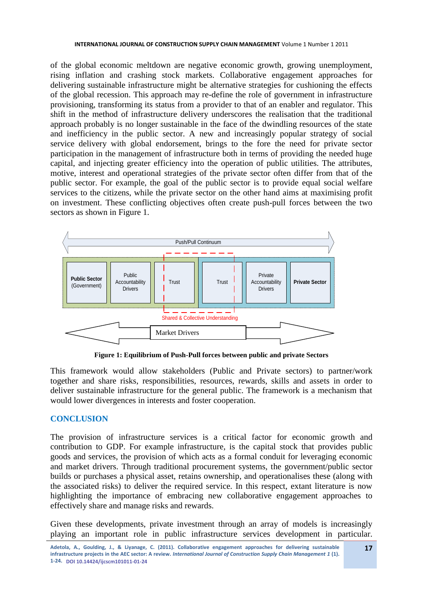of the global economic meltdown are negative economic growth, growing unemployment, rising inflation and crashing stock markets. Collaborative engagement approaches for delivering sustainable infrastructure might be alternative strategies for cushioning the effects of the global recession. This approach may re-define the role of government in infrastructure provisioning, transforming its status from a provider to that of an enabler and regulator. This shift in the method of infrastructure delivery underscores the realisation that the traditional approach probably is no longer sustainable in the face of the dwindling resources of the state and inefficiency in the public sector. A new and increasingly popular strategy of social service delivery with global endorsement, brings to the fore the need for private sector participation in the management of infrastructure both in terms of providing the needed huge capital, and injecting greater efficiency into the operation of public utilities. The attributes, motive, interest and operational strategies of the private sector often differ from that of the public sector. For example, the goal of the public sector is to provide equal social welfare services to the citizens, while the private sector on the other hand aims at maximising profit on investment. These conflicting objectives often create push-pull forces between the two sectors as shown in Figure 1.



**Figure 1: Equilibrium of Push-Pull forces between public and private Sectors** 

This framework would allow stakeholders (Public and Private sectors) to partner/work together and share risks, responsibilities, resources, rewards, skills and assets in order to deliver sustainable infrastructure for the general public. The framework is a mechanism that would lower divergences in interests and foster cooperation.

# **CONCLUSION**

The provision of infrastructure services is a critical factor for economic growth and contribution to GDP. For example infrastructure, is the capital stock that provides public goods and services, the provision of which acts as a formal conduit for leveraging economic and market drivers. Through traditional procurement systems, the government/public sector builds or purchases a physical asset, retains ownership, and operationalises these (along with the associated risks) to deliver the required service. In this respect, extant literature is now highlighting the importance of embracing new collaborative engagement approaches to effectively share and manage risks and rewards.

Given these developments, private investment through an array of models is increasingly playing an important role in public infrastructure services development in particular.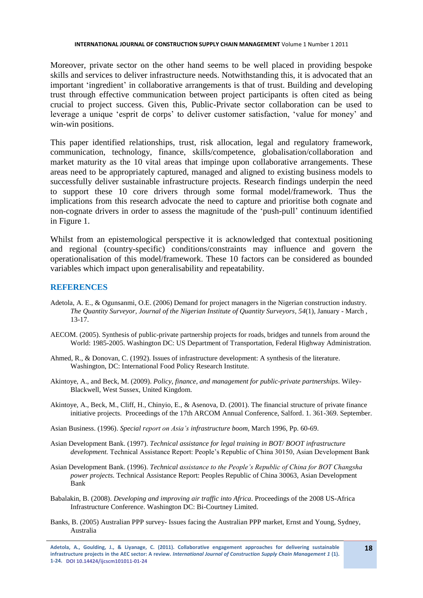Moreover, private sector on the other hand seems to be well placed in providing bespoke skills and services to deliver infrastructure needs. Notwithstanding this, it is advocated that an important 'ingredient' in collaborative arrangements is that of trust. Building and developing trust through effective communication between project participants is often cited as being crucial to project success. Given this, Public-Private sector collaboration can be used to leverage a unique 'esprit de corps' to deliver customer satisfaction, 'value for money' and win-win positions.

This paper identified relationships, trust, risk allocation, legal and regulatory framework, communication, technology, finance, skills/competence, globalisation/collaboration and market maturity as the 10 vital areas that impinge upon collaborative arrangements. These areas need to be appropriately captured, managed and aligned to existing business models to successfully deliver sustainable infrastructure projects. Research findings underpin the need to support these 10 core drivers through some formal model/framework. Thus the implications from this research advocate the need to capture and prioritise both cognate and non-cognate drivers in order to assess the magnitude of the 'push-pull' continuum identified in Figure 1.

Whilst from an epistemological perspective it is acknowledged that contextual positioning and regional (country-specific) conditions/constraints may influence and govern the operationalisation of this model/framework. These 10 factors can be considered as bounded variables which impact upon generalisability and repeatability.

#### **REFERENCES**

- Adetola, A. E., & Ogunsanmi, O.E. (2006) Demand for project managers in the Nigerian construction industry. *The Quantity Surveyor, Journal of the Nigerian Institute of Quantity Surveyors, 54*(1), January - March , 13-17.
- AECOM. (2005). Synthesis of public-private partnership projects for roads, bridges and tunnels from around the World: 1985-2005. Washington DC: US Department of Transportation, Federal Highway Administration.
- Ahmed, R., & Donovan, C. (1992). Issues of infrastructure development: A synthesis of the literature. Washington, DC: International Food Policy Research Institute.
- Akintoye, A., and Beck, M. (2009). *Policy, finance, and management for public-private partnerships*. Wiley-Blackwell, West Sussex, United Kingdom.
- Akintoye, A., Beck, M., Cliff, H., Chinyio, E., & Asenova, D. (2001). The financial structure of private finance initiative projects. Proceedings of the 17th ARCOM Annual Conference, Salford. 1. 361-369. September.
- Asian Business. (1996). *Special report on Asia's infrastructure boom*, March 1996, Pp. 60-69.
- Asian Development Bank. (1997). *Technical assistance for legal training in BOT/ BOOT infrastructure development.* Technical Assistance Report: People's Republic of China 30150, Asian Development Bank
- Asian Development Bank. (1996). *Technical assistance to the People's Republic of China for BOT Changsha power projects.* Technical Assistance Report: Peoples Republic of China 30063, Asian Development Bank
- Babalakin, B. (2008). *Developing and improving air traffic into Africa*. Proceedings of the 2008 US-Africa Infrastructure Conference. Washington DC: Bi-Courtney Limited.
- Banks, B. (2005) Australian PPP survey- Issues facing the Australian PPP market, Ernst and Young, Sydney, Australia

**Adetola, A., Goulding, J., & Liyanage, C. (2011). Collaborative engagement approaches for delivering sustainable infrastructure projects in the AEC sector: A review.** *International Journal of Construction Supply Chain Management 1* **(1). 1-24. DOI 10.14424/ijcscm101011-01-24**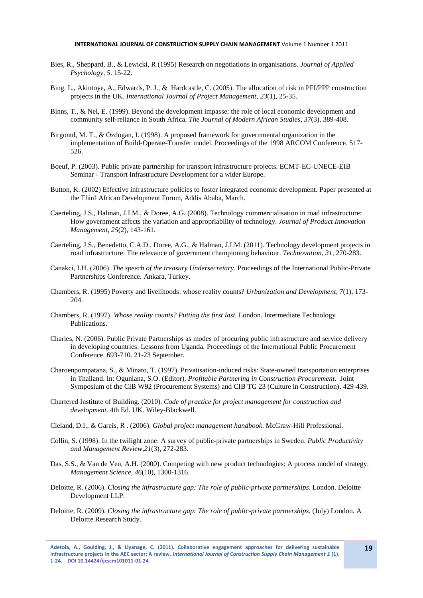- Bies, R., Sheppard, B., & Lewicki, R (1995) Research on negotiations in organisations. *Journal of Applied Psychology, 5*. 15-22.
- Bing. L., Akintoye, A., Edwards, P. J., & Hardcastle, C. (2005). The allocation of risk in PFI/PPP construction projects in the UK. *International Journal of Project Management*, *23*(1), 25-35.
- Binns, T., & Nel, E. (1999). Beyond the development impasse: the role of local economic development and community self-reliance in South Africa. *The Journal of Modern African Studies*, *37*(3), 389-408.
- Birgonul, M. T., & Ozdogan, I. (1998). A proposed framework for governmental organization in the implementation of Build-Operate-Transfer model. Proceedings of the 1998 ARCOM Conference. 517- 526.
- Boeuf, P. (2003). Public private partnership for transport infrastructure projects. ECMT-EC-UNECE-EIB Seminar - Transport Infrastructure Development for a wider Europe.
- Button, K. (2002) Effective infrastructure policies to foster integrated economic development. Paper presented at the Third African Development Forum, Addis Ababa, March.
- Caerteling, J.S., Halman, J.I.M., & Doree, A.G. (2008). Technology commercialisation in road infrastructure: How government affects the variation and appropriability of technology. *Journal of Product Innovation Management, 25*(2), 143-161.
- Caerteling, J.S., Benedetto, C.A.D., Doree, A.G., & Halman, J.I.M. (2011). Technology development projects in road infrastructure: The relevance of government championing behaviour. *Technovation, 31,* 270-283.
- Canakci, I.H. (2006). *The speech of the treasury Undersecretary*. Proceedings of the International Public-Private Partnerships Conference. Ankara, Turkey.
- Chambers, R. (1995) Poverty and livelihoods: whose reality counts? *Urbanization and Development*, *7*(1), 173- 204.
- Chambers, R. (1997). *Whose reality counts? Putting the first last*. London. Intermediate Technology Publications.
- Charles, N. (2006). Public Private Partnerships as modes of procuring public infrastructure and service delivery in developing countries: Lessons from Uganda. Proceedings of the International Public Procurement Conference. 693-710. 21-23 September.
- Charoenpornpatana, S., & Minato, T. (1997). Privatisation-induced risks: State-owned transportation enterprises in Thailand. In: Ogunlana, S.O. (Editor). *Profitable Partnering in Construction Procurement*. Joint Symposium of the CIB W92 (Procurement Systems) and CIB TG 23 (Culture in Construction). 429-439.
- Chartered Institute of Building. (2010). *Code of practice for project management for construction and development*. 4th Ed. UK. Wiley-Blackwell.
- Cleland, D.I., & Gareis, R . (2006). *Global project management handbook*. McGraw-Hill Professional.
- Collin, S. (1998). In the twilight zone: A survey of public-private partnerships in Sweden. *Public Productivity and Management Review,21*(3), 272-283.
- Das, S.S., & Van de Ven, A.H. (2000). Competing with new product technologies: A process model of strategy. *Management Science, 46*(10), 1300-1316.
- Deloitte, R. (2006). *Closing the infrastructure gap: The role of public-private partnerships*. London. Deloitte Development LLP.
- Deloitte, R. (2009). *Closing the infrastructure gap: The role of public-private partnerships*. (July) London. A Deloitte Research Study.

**Adetola, A., Goulding, J., & Liyanage, C. (2011). Collaborative engagement approaches for delivering sustainable infrastructure projects in the AEC sector: A review.** *International Journal of Construction Supply Chain Management 1* **(1). 1-24. DOI 10.14424/ijcscm101011-01-24**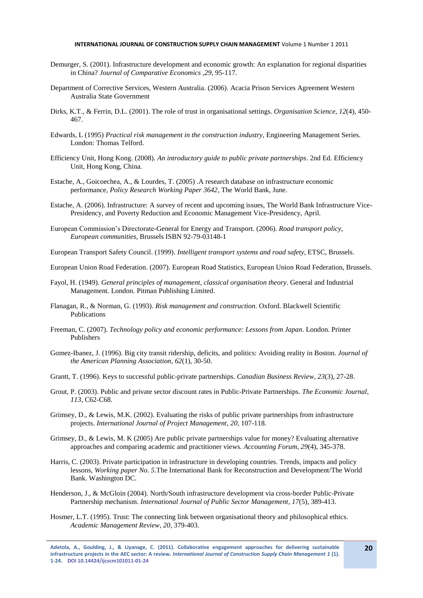- Demurger, S. (2001). Infrastructure development and economic growth: An explanation for regional disparities in China? *Journal of Comparative Economics ,29*, 95-117.
- Department of Corrective Services, Western Australia. (2006). Acacia Prison Services Agreement Western Australia State Government
- Dirks, K.T., & Ferrin, D.L. (2001). The role of trust in organisational settings. *Organisation Science*, *12*(4), 450- 467.
- Edwards, L (1995) *Practical risk management in the construction industry,* Engineering Management Series. London: Thomas Telford.
- Efficiency Unit, Hong Kong. (2008). *An introductory guide to public private partnerships*. 2nd Ed. Efficiency Unit, Hong Kong, China.
- Estache, A., Goicoechea, A., & Lourdes, T. (2005) .A research database on infrastructure economic performance, *Policy Research Working Paper 3642*, The World Bank, June.
- Estache, A. (2006). Infrastructure: A survey of recent and upcoming issues, The World Bank Infrastructure Vice-Presidency, and Poverty Reduction and Economic Management Vice-Presidency, April.
- European Commission's Directorate-General for Energy and Transport. (2006). *Road transport policy, European communities*, Brussels ISBN 92-79-03148-1
- European Transport Safety Council. (1999). *Intelligent transport systems and road safety*, ETSC, Brussels.
- European Union Road Federation. (2007). European Road Statistics, European Union Road Federation, Brussels.
- Fayol, H. (1949). *General principles of management, classical organisation theory*. General and Industrial Management. London. Pitman Publishing Limited.
- Flanagan, R., & Norman, G. (1993). *Risk management and construction*. Oxford. Blackwell Scientific Publications
- Freeman, C. (2007). *Technology policy and economic performance: Lessons from Japan*. London. Printer Publishers
- Gomez-Ibanez, J. (1996). Big city transit ridership, deficits, and politics: Avoiding reality in Boston. *Journal of the American Planning Association*, *62*(1), 30-50.
- Grantt, T. (1996). Keys to successful public-private partnerships. *Canadian Business Review*, *23*(3), 27-28.
- Grout, P. (2003). Public and private sector discount rates in Public-Private Partnerships. *The Economic Journal*, *113*, C62-C68.
- Grimsey, D., & Lewis, M.K. (2002). Evaluating the risks of public private partnerships from infrastructure projects. *International Journal of Project Management, 20,* 107-118.
- Grimsey, D., & Lewis, M. K (2005) Are public private partnerships value for money? Evaluating alternative approaches and comparing academic and practitioner views. *Accounting Forum*, *29*(4), 345-378.
- Harris, C. (2003). Private participation in infrastructure in developing countries. Trends, impacts and policy lessons, *Working paper No. 5*.The International Bank for Reconstruction and Development/The World Bank. Washington DC.
- Henderson, J., & McGloin (2004). North/South infrastructure development via cross-border Public-Private Partnership mechanism. *International Journal of Public Sector Management*, *17*(5), 389-413.
- Hosmer, L.T. (1995). Trust: The connecting link between organisational theory and philosophical ethics. *Academic Management Review, 20,* 379-403.

**Adetola, A., Goulding, J., & Liyanage, C. (2011). Collaborative engagement approaches for delivering sustainable infrastructure projects in the AEC sector: A review.** *International Journal of Construction Supply Chain Management 1* **(1). 1-24. DOI 10.14424/ijcscm101011-01-24**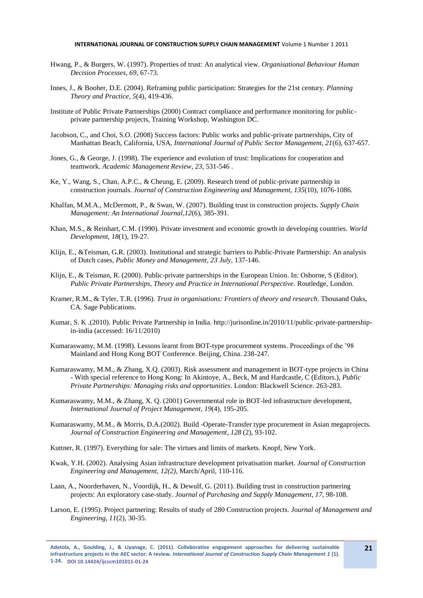- Hwang, P., & Burgers, W. (1997). Properties of trust: An analytical view. *Organisational Behaviour Human Decision Processes*, *69*, 67-73.
- Innes, J., & Booher, D.E. (2004). Reframing public participation: Strategies for the 21st century. *Planning Theory and Practice*, *5*(4), 419-436.
- Institute of Public Private Partnerships (2000) Contract compliance and performance monitoring for publicprivate partnership projects, Training Workshop, Washington DC.
- Jacobson, C., and Choi, S.O. (2008) Success factors: Public works and public-private partnerships, City of Manhattan Beach, California, USA, *International Journal of Public Sector Management, 21*(6), 637-657.
- Jones, G., & George, J. (1998). The experience and evolution of trust: Implications for cooperation and teamwork. *Academic Management Review, 23*, 531-546 .
- Ke, Y., Wang, S., Chan, A.P.C., & Cheung, E. (2009). Research trend of public-private partnership in construction journals. *Journal of Construction Engineering and Management, 135*(10), 1076-1086.
- Khalfan, M.M.A., McDermott, P., & Swan, W. (2007). Building trust in construction projects. *Supply Chain Management: An International Journal,12*(6), 385-391.
- Khan, M.S., & Reinhart, C.M. (1990). Private investment and economic growth in developing countries. *World Development, 18*(1), 19-27.
- Klijn, E., &Teisman, G.R. (2003). Institutional and strategic barriers to Public-Private Partnership: An analysis of Dutch cases, *Public Money and Management, 23 July*, 137-146.
- Klijn, E., & Teisman, R. (2000). Public-private partnerships in the European Union. In: Osborne, S (Editor). *Public Private Partnerships, Theory and Practice in International Perspective.* Routledge, London.
- Kramer, R.M., & Tyler, T.R. (1996). *Trust in organisations: Frontiers of theory and research*. Thousand Oaks, CA. Sage Publications.
- Kumar, S. K .(2010). Public Private Partnership in India. http://jurisonline.in/2010/11/public-private-partnershipin-india (accessed: 16/11/2010)
- Kumaraswamy, M.M. (1998). Lessons learnt from BOT-type procurement systems. Proceedings of the '98 Mainland and Hong Kong BOT Conference. Beijing, China. 238-247.
- Kumaraswamy, M.M., & Zhang, X.Q. (2003). Risk assessment and management in BOT-type projects in China - With special reference to Hong Kong: In Akintoye, A., Beck, M and Hardcastle, C (Editors.), *Public Private Partnerships: Managing risks and opportunities*. London: Blackwell Science. 263-283.
- Kumaraswamy, M.M., & Zhang, X. Q. (2001) Governmental role in BOT-led infrastructure development, *International Journal of Project Management, 19*(4), 195-205.
- Kumaraswamy, M.M., & Morris, D.A.(2002). Build -Operate-Transfer type procurement in Asian megaprojects. *Journal of Construction Engineering and Management, 128* (2), 93-102.
- Kuttner, R. (1997). Everything for sale: The virtues and limits of markets. Knopf, New York.
- Kwak, Y.H. (2002). Analysing Asian infrastructure development privatisation market. *Journal of Construction Engineering and Management, 12(2)*, March/April, 110-116.
- Laan, A., Noorderhaven, N., Voordijk, H., & Dewulf, G. (2011). Building trust in construction partnering projects: An exploratory case-study. *Journal of Purchasing and Supply Management, 17*, 98-108.
- Larson, E. (1995). Project partnering: Results of study of 280 Construction projects. *Journal of Management and Engineering, 11*(2)*,* 30-35.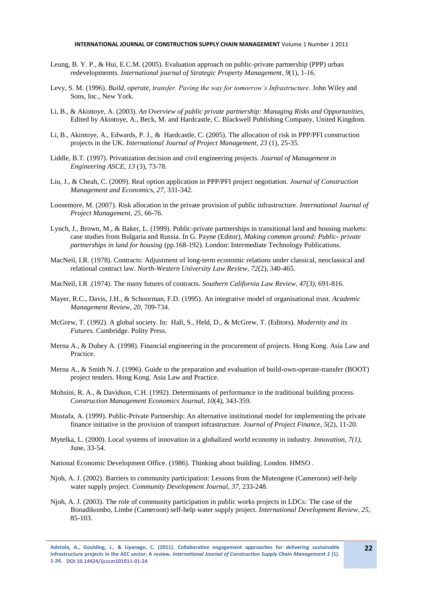- Leung, B. Y. P., & Hui, E.C.M. (2005). Evaluation approach on public-private partnership (PPP) urban redevelopmemts. *International journal of Strategic Property Management*, *9*(1), 1-16.
- Levy, S. M. (1996). *Build, operate, transfer. Paving the way for tomorrow's Infrastructure*. John Wiley and Sons, Inc., New York.
- Li, B., & Akintoye, A. (2003). *An Overview of public private partnership: Managing Risks and Opportunities,*  Edited by Akintoye, A., Beck, M. and Hardcastle, C. Blackwell Publishing Company, United Kingdom.
- Li, B., Akintoye, A., Edwards, P. J., & Hardcastle, C. (2005). The allocation of risk in PPP/PFI construction projects in the UK. *International Journal of Project Management, 23* (1), 25-35.
- Liddle, B.T. (1997). Privatization decision and civil engineering projects. *Journal of Management in Engineering ASCE, 13* (3), 73-78.
- Liu, J., & Cheah, C. (2009). Real option application in PPP/PFI project negotiation. *Journal of Construction Management and Economic*s, *27*, 331-342.
- Loosemore, M. (2007). Risk allocation in the private provision of public infrastructure. *International Journal of Project Management, 25*, 66-76.
- Lynch, J., Brown, M., & Baker, L. (1999). Public-private partnerships in transitional land and housing markets: case studies from Bulgaria and Russia. In G. Payne (Editor), *Making common ground: Public- private partnerships in land for housing* (pp.168-192). London: Intermediate Technology Publications.
- MacNeil, I.R. (1978). Contracts: Adjustment of long-term economic relations under classical, neoclassical and relational contract law. *North-Western University Law Review*, *72*(2), 340-465.
- MacNeil, I.R .(1974). The many futures of contracts. *Southern California Law Review*, *47(3)*, 691-816.
- Mayer, R.C., Davis, J.H., & Schoorman, F.D. (1995). An integrative model of organisational trust. *Academic Management Review*, *20*, 709-734.
- McGrew, T. (1992). A global society. In: Hall, S., Held, D., & McGrew, T. (Editors). *Modernity and its Futures.* Cambridge. Polity Press.
- Merna A., & Dubey A. (1998). Financial engineering in the procurement of projects. Hong Kong. Asia Law and Practice.
- Merna A., & Smith N. J. (1996). Guide to the preparation and evaluation of build-own-operate-transfer (BOOT) project tenders. Hong Kong. Asia Law and Practice.
- Mohsini, R. A., & Davidson, C.H. (1992). Determinants of performance in the traditional building process. *Construction Management Economics Journal, 10*(4)*,* 343-359.
- Mustafa, A. (1999). Public-Private Partnership: An alternative institutional model for implementing the private finance initiative in the provision of transport infrastructure. *Journal of Project Finance*, *5*(2), 11-20.
- Mytelka, L. (2000). Local systems of innovation in a globalized world economy in industry. *Innovation*, *7(1)*, June, 33-54.

National Economic Development Office. (1986). Thinking about building. London. HMSO .

- Njoh, A. J. (2002). Barriers to community participation: Lessons from the Mutengene (Cameroon) self-help water supply project. *Community Development Journal*, *37,* 233-248.
- Njoh, A. J. (2003). The role of community participation in public works projects in LDCs: The case of the Bonadikombo, Limbe (Cameroon) self-help water supply project. *International Development Review*, *25*, 85-103.

**Adetola, A., Goulding, J., & Liyanage, C. (2011). Collaborative engagement approaches for delivering sustainable infrastructure projects in the AEC sector: A review.** *International Journal of Construction Supply Chain Management 1* **(1). 1-24. DOI 10.14424/ijcscm101011-01-24**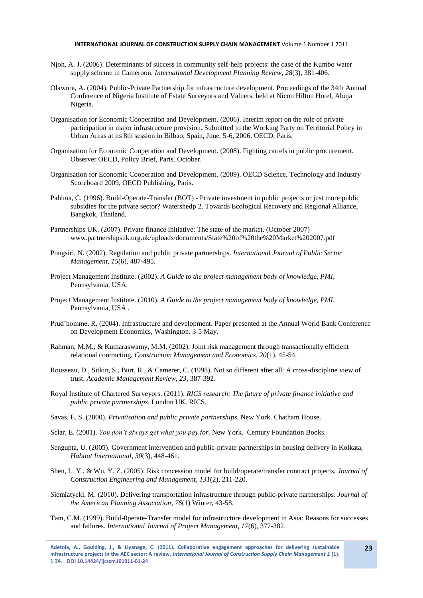- Njoh, A. J. (2006). Determinants of success in community self-help projects: the case of the Kumbo water supply scheme in Cameroon. *International Development Planning Review, 28*(3), 381-406.
- Olawore, A. (2004). Public-Private Partnership for infrastructure development. Proceedings of the 34th Annual Conference of Nigeria Institute of Estate Surveyors and Valuers, held at Nicon Hilton Hotel, Abuja Nigeria.
- Organisation for Economic Cooperation and Development. (2006). Interim report on the role of private participation in major infrastructure provision. Submitted to the Working Party on Territorial Policy in Urban Areas at its 8th session in Bilbao, Spain, June, 5-6, 2006. OECD, Paris.
- Organisation for Economic Cooperation and Development. (2008). Fighting cartels in public procurement. Observer OECD, Policy Brief, Paris. October.
- Organisation for Economic Cooperation and Development. (2009). OECD Science, Technology and Industry Scoreboard 2009, OECD Publishing, Paris.
- Pahlma, C. (1996). Build-Operate-Transfer (BOT) Private investment in public projects or just more public subsidies for the private sector? Watershedp 2. Towards Ecological Recovery and Regional Alliance, Bangkok, Thailand.
- Partnerships UK. (2007). Private finance initiative: The state of the market. (October 2007) www.partnershipsuk.org.uk/uploads/documents/State%20of%20the%20Market%202007.pdf
- Pongsiri, N. (2002). Regulation and public private partnerships. *International Journal of Public Sector Management, 15*(6), 487-495.
- Project Management Institute. (2002). *A Guide to the project management body of knowledge, PMI*, Pennsylvania, USA.
- Project Management Institute. (2010). *A Guide to the project management body of knowledge, PMI,* Pennsylvania, USA .
- Prud'homme, R. (2004). Infrastructure and development. Paper presented at the Annual World Bank Conference on Development Economics, Washington. 3-5 May.
- Rahman, M.M., & Kumaraswamy, M.M. (2002). Joint risk management through transactionally efficient relational contracting, *Construction Management and Economics, 20*(1), 45-54.
- Rousseau, D., Sitkin, S., Burt, R., & Camerer, C. (1998). Not so different after all: A cross-discipline view of trust. *Academic Management Review, 23,* 387-392.
- Royal Institute of Chartered Surveyors. (2011). *RICS research: The future of private finance initiative and public private partnerships.* London UK. RICS.
- Savas, E. S. (2000). *Privatisation and public private partnerships*. New York. Chatham House.
- Sclar, E. (2001). *You don't always get what you pay for.* New York. Century Foundation Books.
- Sengupta, U. (2005). Government intervention and public-private partnerships in housing delivery in Kolkata, *Habitat International*, *30*(3), 448-461.
- Shen, L. Y., & Wu, Y. Z. (2005). Risk concession model for build/operate/transfer contract projects. *Journal of Construction Engineering and Management, 131*(2), 211-220.
- Siemiatycki, M. (2010). Delivering transportation infrastructure through public-private partnerships. *Journal of the American Planning Association, 76*(1) Winter, 43-58.
- Tam, C.M. (1999). Build-0perate-Transfer model for infrastructure development in Asia: Reasons for successes and failures. *International Journal of Project Management, 17*(6), 377-382.